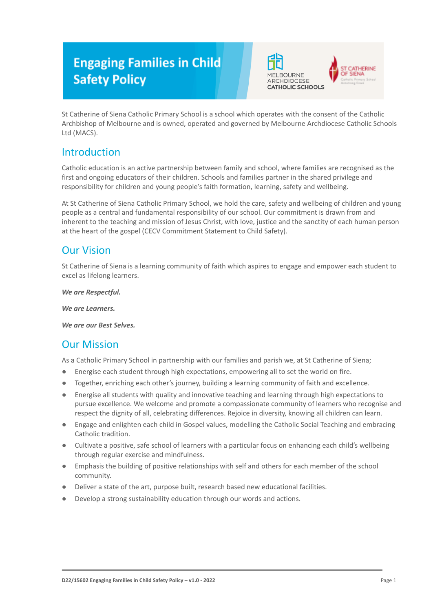# **Engaging Families in Child Safety Policy**





St Catherine of Siena Catholic Primary School is a school which operates with the consent of the Catholic Archbishop of Melbourne and is owned, operated and governed by Melbourne Archdiocese Catholic Schools Ltd (MACS).

## Introduction

Catholic education is an active partnership between family and school, where families are recognised as the first and ongoing educators of their children. Schools and families partner in the shared privilege and responsibility for children and young people's faith formation, learning, safety and wellbeing.

At St Catherine of Siena Catholic Primary School, we hold the care, safety and wellbeing of children and young people as a central and fundamental responsibility of our school. Our commitment is drawn from and inherent to the teaching and mission of Jesus Christ, with love, justice and the sanctity of each human person at the heart of the gospel (CECV Commitment Statement to Child Safety).

## Our Vision

St Catherine of Siena is a learning community of faith which aspires to engage and empower each student to excel as lifelong learners.

*We are Respectful.*

*We are Learners.*

*We are our Best Selves.*

## Our Mission

As a Catholic Primary School in partnership with our families and parish we, at St Catherine of Siena;

- Energise each student through high expectations, empowering all to set the world on fire.
- Together, enriching each other's journey, building a learning community of faith and excellence.
- Energise all students with quality and innovative teaching and learning through high expectations to pursue excellence. We welcome and promote a compassionate community of learners who recognise and respect the dignity of all, celebrating differences. Rejoice in diversity, knowing all children can learn.
- Engage and enlighten each child in Gospel values, modelling the Catholic Social Teaching and embracing Catholic tradition.
- Cultivate a positive, safe school of learners with a particular focus on enhancing each child's wellbeing through regular exercise and mindfulness.
- Emphasis the building of positive relationships with self and others for each member of the school community.
- Deliver a state of the art, purpose built, research based new educational facilities.
- Develop a strong sustainability education through our words and actions.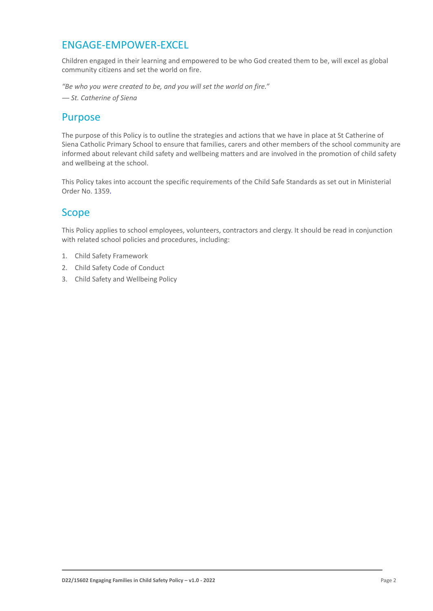## ENGAGE-EMPOWER-EXCEL

Children engaged in their learning and empowered to be who God created them to be, will excel as global community citizens and set the world on fire.

*"Be who you were created to be, and you will set the world on fire."*

*― St. Catherine of Siena*

### Purpose

The purpose of this Policy is to outline the strategies and actions that we have in place at St Catherine of Siena Catholic Primary School to ensure that families, carers and other members of the school community are informed about relevant child safety and wellbeing matters and are involved in the promotion of child safety and wellbeing at the school.

This Policy takes into account the specific requirements of the Child Safe Standards as set out in Ministerial Order No. 1359.

## Scope

This Policy applies to school employees, volunteers, contractors and clergy. It should be read in conjunction with related school policies and procedures, including:

- 1. Child Safety Framework
- 2. Child Safety Code of Conduct
- 3. Child Safety and Wellbeing Policy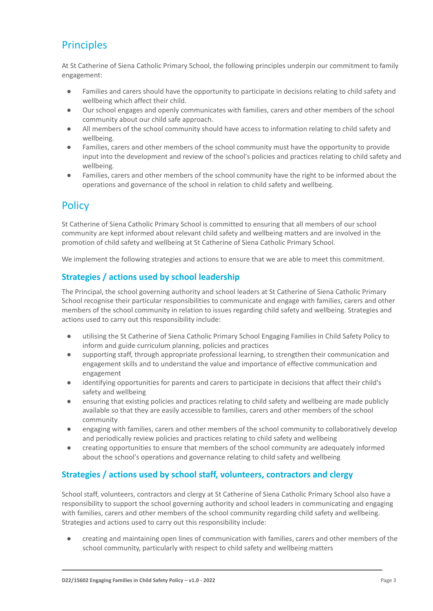## **Principles**

At St Catherine of Siena Catholic Primary School, the following principles underpin our commitment to family engagement:

- Families and carers should have the opportunity to participate in decisions relating to child safety and wellbeing which affect their child.
- Our school engages and openly communicates with families, carers and other members of the school community about our child safe approach.
- All members of the school community should have access to information relating to child safety and wellbeing.
- Families, carers and other members of the school community must have the opportunity to provide input into the development and review of the school's policies and practices relating to child safety and wellbeing.
- Families, carers and other members of the school community have the right to be informed about the operations and governance of the school in relation to child safety and wellbeing.

## **Policy**

St Catherine of Siena Catholic Primary School is committed to ensuring that all members of our school community are kept informed about relevant child safety and wellbeing matters and are involved in the promotion of child safety and wellbeing at St Catherine of Siena Catholic Primary School.

We implement the following strategies and actions to ensure that we are able to meet this commitment.

#### **Strategies / actions used by school leadership**

The Principal, the school governing authority and school leaders at St Catherine of Siena Catholic Primary School recognise their particular responsibilities to communicate and engage with families, carers and other members of the school community in relation to issues regarding child safety and wellbeing. Strategies and actions used to carry out this responsibility include:

- utilising the St Catherine of Siena Catholic Primary School Engaging Families in Child Safety Policy to inform and guide curriculum planning, policies and practices
- supporting staff, through appropriate professional learning, to strengthen their communication and engagement skills and to understand the value and importance of effective communication and engagement
- identifying opportunities for parents and carers to participate in decisions that affect their child's safety and wellbeing
- ensuring that existing policies and practices relating to child safety and wellbeing are made publicly available so that they are easily accessible to families, carers and other members of the school community
- engaging with families, carers and other members of the school community to collaboratively develop and periodically review policies and practices relating to child safety and wellbeing
- creating opportunities to ensure that members of the school community are adequately informed about the school's operations and governance relating to child safety and wellbeing

#### **Strategies / actions used by school staff, volunteers, contractors and clergy**

School staff, volunteers, contractors and clergy at St Catherine of Siena Catholic Primary School also have a responsibility to support the school governing authority and school leaders in communicating and engaging with families, carers and other members of the school community regarding child safety and wellbeing. Strategies and actions used to carry out this responsibility include:

creating and maintaining open lines of communication with families, carers and other members of the school community, particularly with respect to child safety and wellbeing matters